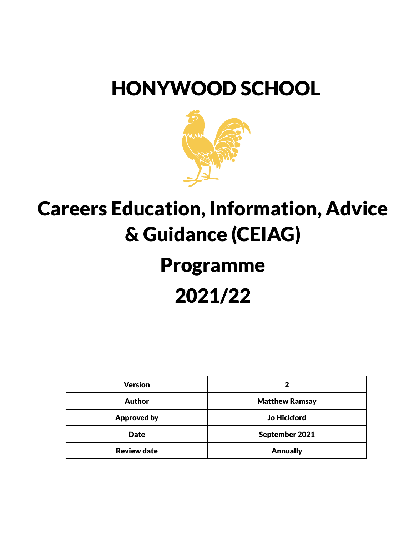## HONYWOOD SCHOOL



## Careers Education, Information, Advice & Guidance (CEIAG)

# Programme 2021/22

| <b>Version</b>     | 2                     |
|--------------------|-----------------------|
| <b>Author</b>      | <b>Matthew Ramsay</b> |
| <b>Approved by</b> | <b>Jo Hickford</b>    |
| <b>Date</b>        | September 2021        |
| <b>Review date</b> | <b>Annually</b>       |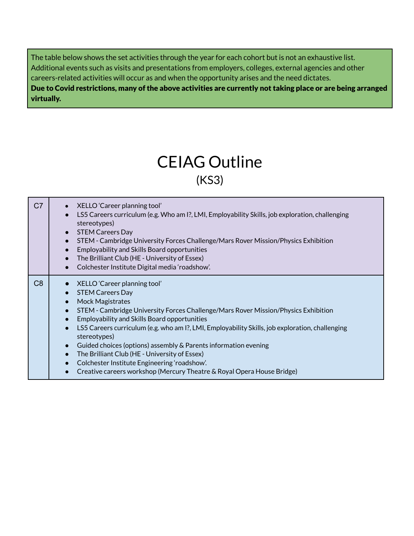The table below shows the set activities through the year for each cohort but is not an exhaustive list. Additional events such as visits and presentations from employers, colleges, external agencies and other careers-related activities will occur as and when the opportunity arises and the need dictates. Due to Covid restrictions, many of the above activities are currently not taking place or are being arranged virtually.

### CEIAG Outline (KS3)

| C <sub>7</sub> | XELLO 'Career planning tool'<br>$\bullet$<br>LS5 Careers curriculum (e.g. Who am I?, LMI, Employability Skills, job exploration, challenging<br>$\bullet$<br>stereotypes)<br><b>STEM Careers Day</b><br>$\bullet$<br>STEM - Cambridge University Forces Challenge/Mars Rover Mission/Physics Exhibition<br>$\bullet$<br><b>Employability and Skills Board opportunities</b><br>$\bullet$<br>The Brilliant Club (HE - University of Essex)<br>$\bullet$<br>Colchester Institute Digital media 'roadshow'.<br>$\bullet$                                                                                                                                                                                                 |
|----------------|-----------------------------------------------------------------------------------------------------------------------------------------------------------------------------------------------------------------------------------------------------------------------------------------------------------------------------------------------------------------------------------------------------------------------------------------------------------------------------------------------------------------------------------------------------------------------------------------------------------------------------------------------------------------------------------------------------------------------|
| C <sub>8</sub> | XELLO 'Career planning tool'<br><b>STEM Careers Day</b><br>$\bullet$<br><b>Mock Magistrates</b><br>$\bullet$<br>STEM - Cambridge University Forces Challenge/Mars Rover Mission/Physics Exhibition<br>$\bullet$<br><b>Employability and Skills Board opportunities</b><br>$\bullet$<br>LS5 Careers curriculum (e.g. who am 1?, LMI, Employability Skills, job exploration, challenging<br>$\bullet$<br>stereotypes)<br>Guided choices (options) assembly & Parents information evening<br>$\bullet$<br>The Brilliant Club (HE - University of Essex)<br>$\bullet$<br>Colchester Institute Engineering 'roadshow'.<br>$\bullet$<br>Creative careers workshop (Mercury Theatre & Royal Opera House Bridge)<br>$\bullet$ |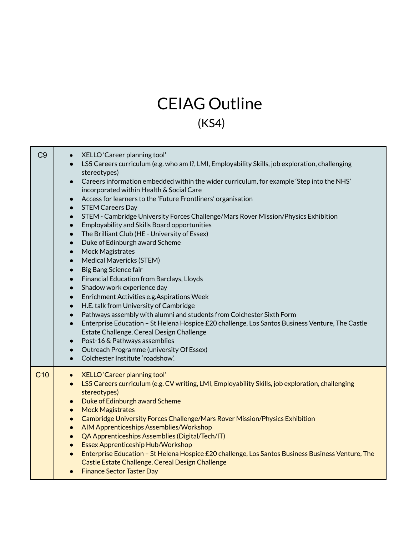## CEIAG Outline (KS4)

| C <sub>9</sub>  | XELLO 'Career planning tool'<br>$\bullet$<br>LS5 Careers curriculum (e.g. who am I?, LMI, Employability Skills, job exploration, challenging<br>$\bullet$<br>stereotypes)<br>Careers information embedded within the wider curriculum, for example 'Step into the NHS'<br>$\bullet$<br>incorporated within Health & Social Care<br>Access for learners to the 'Future Frontliners' organisation<br>$\bullet$<br><b>STEM Careers Day</b><br>$\bullet$<br>STEM - Cambridge University Forces Challenge/Mars Rover Mission/Physics Exhibition<br>$\bullet$<br>Employability and Skills Board opportunities<br>$\bullet$<br>The Brilliant Club (HE - University of Essex)<br>$\bullet$<br>Duke of Edinburgh award Scheme<br>$\bullet$<br>Mock Magistrates<br>$\bullet$<br>Medical Mavericks (STEM)<br>$\bullet$<br>Big Bang Science fair<br>$\bullet$<br>Financial Education from Barclays, Lloyds<br>$\bullet$<br>Shadow work experience day<br>$\bullet$<br>Enrichment Activities e.g. Aspirations Week<br>$\bullet$<br>H.E. talk from University of Cambridge<br>$\bullet$<br>Pathways assembly with alumni and students from Colchester Sixth Form<br>$\bullet$<br>Enterprise Education - St Helena Hospice £20 challenge, Los Santos Business Venture, The Castle<br>$\bullet$<br>Estate Challenge, Cereal Design Challenge<br>Post-16 & Pathways assemblies<br>$\bullet$<br>Outreach Programme (university Of Essex)<br>$\bullet$<br>Colchester Institute 'roadshow'.<br>$\bullet$ |
|-----------------|--------------------------------------------------------------------------------------------------------------------------------------------------------------------------------------------------------------------------------------------------------------------------------------------------------------------------------------------------------------------------------------------------------------------------------------------------------------------------------------------------------------------------------------------------------------------------------------------------------------------------------------------------------------------------------------------------------------------------------------------------------------------------------------------------------------------------------------------------------------------------------------------------------------------------------------------------------------------------------------------------------------------------------------------------------------------------------------------------------------------------------------------------------------------------------------------------------------------------------------------------------------------------------------------------------------------------------------------------------------------------------------------------------------------------------------------------------------------------------------|
| C <sub>10</sub> | <b>XELLO 'Career planning tool'</b><br>$\bullet$<br>LS5 Careers curriculum (e.g. CV writing, LMI, Employability Skills, job exploration, challenging<br>$\bullet$<br>stereotypes)<br>Duke of Edinburgh award Scheme<br>$\bullet$<br><b>Mock Magistrates</b><br>$\bullet$<br>Cambridge University Forces Challenge/Mars Rover Mission/Physics Exhibition<br>$\bullet$<br>AIM Apprenticeships Assemblies/Workshop<br>$\bullet$<br>QA Apprenticeships Assemblies (Digital/Tech/IT)<br>$\bullet$<br><b>Essex Apprenticeship Hub/Workshop</b><br>$\bullet$<br>Enterprise Education - St Helena Hospice £20 challenge, Los Santos Business Business Venture, The<br>$\bullet$<br>Castle Estate Challenge, Cereal Design Challenge<br><b>Finance Sector Taster Day</b><br>$\bullet$                                                                                                                                                                                                                                                                                                                                                                                                                                                                                                                                                                                                                                                                                                         |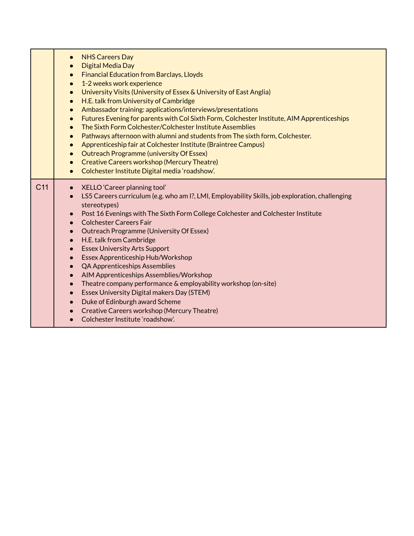|                 | <b>NHS Careers Day</b><br>$\bullet$<br>Digital Media Day<br>$\bullet$<br><b>Financial Education from Barclays, Lloyds</b><br>$\bullet$<br>1-2 weeks work experience<br>$\bullet$<br>University Visits (University of Essex & University of East Anglia)<br>$\bullet$<br>H.E. talk from University of Cambridge<br>$\bullet$<br>Ambassador training: applications/interviews/presentations<br>$\bullet$<br>Futures Evening for parents with Col Sixth Form, Colchester Institute, AIM Apprenticeships<br>$\bullet$<br>The Sixth Form Colchester/Colchester Institute Assemblies<br>$\bullet$<br>Pathways afternoon with alumni and students from The sixth form, Colchester.<br>$\bullet$<br>Apprenticeship fair at Colchester Institute (Braintree Campus)<br>$\bullet$<br><b>Outreach Programme (university Of Essex)</b><br>$\bullet$<br><b>Creative Careers workshop (Mercury Theatre)</b><br>$\bullet$<br>Colchester Institute Digital media 'roadshow'.<br>$\bullet$ |
|-----------------|---------------------------------------------------------------------------------------------------------------------------------------------------------------------------------------------------------------------------------------------------------------------------------------------------------------------------------------------------------------------------------------------------------------------------------------------------------------------------------------------------------------------------------------------------------------------------------------------------------------------------------------------------------------------------------------------------------------------------------------------------------------------------------------------------------------------------------------------------------------------------------------------------------------------------------------------------------------------------|
| C <sub>11</sub> | XELLO 'Career planning tool'<br>$\bullet$<br>LS5 Careers curriculum (e.g. who am I?, LMI, Employability Skills, job exploration, challenging<br>$\bullet$<br>stereotypes)<br>Post 16 Evenings with The Sixth Form College Colchester and Colchester Institute<br>$\bullet$<br><b>Colchester Careers Fair</b><br>$\bullet$<br>Outreach Programme (University Of Essex)<br>$\bullet$<br>H.E. talk from Cambridge<br>$\bullet$<br><b>Essex University Arts Support</b><br>$\bullet$<br>Essex Apprenticeship Hub/Workshop<br>$\bullet$<br><b>QA Apprenticeships Assemblies</b><br>$\bullet$<br>AIM Apprenticeships Assemblies/Workshop<br>$\bullet$<br>Theatre company performance & employability workshop (on-site)<br>$\bullet$<br>Essex University Digital makers Day (STEM)<br>$\bullet$<br>Duke of Edinburgh award Scheme<br>$\bullet$<br>Creative Careers workshop (Mercury Theatre)<br>$\bullet$<br>Colchester Institute 'roadshow'.                                  |